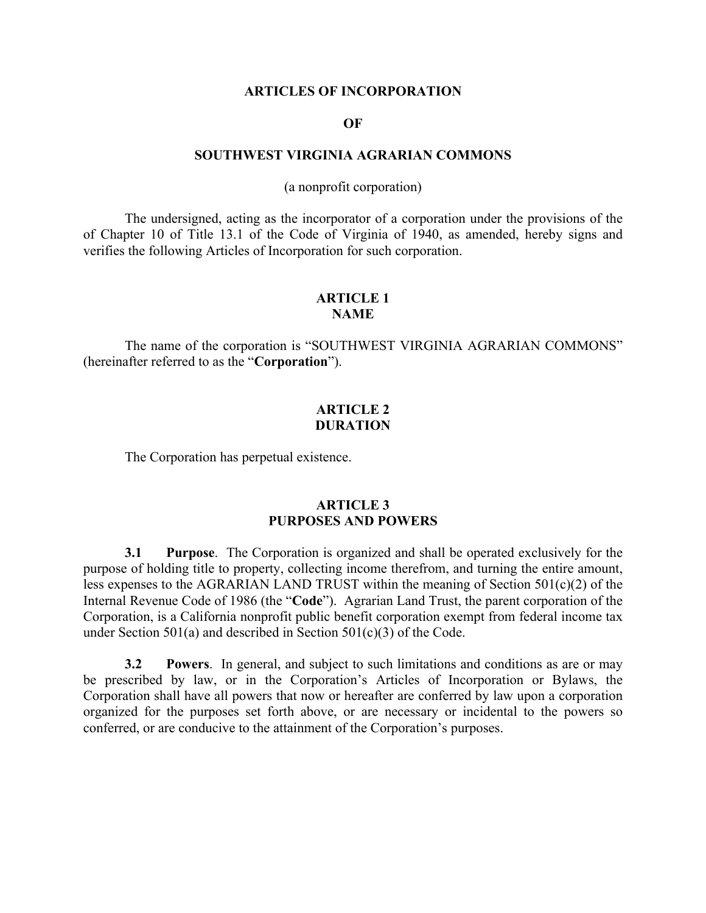### **ARTICLES OF INCORPORATION**

#### **OF**

### **SOUTHWEST VIRGINIA AGRARIAN COMMONS**

(a nonprofit corporation)

The undersigned, acting as the incorporator of a corporation under the provisions of the of Chapter 10 of Title 13.1 of the Code of Virginia of 1940, as amended, hereby signs and verifies the following Articles of Incorporation for such corporation.

# **ARTICLE 1 NAME**

The name of the corporation is "SOUTHWEST VIRGINIA AGRARIAN COMMONS" (hereinafter referred to as the "**Corporation**").

## **ARTICLE 2 DURATION**

The Corporation has perpetual existence.

## **ARTICLE 3 PURPOSES AND POWERS**

**3.1 Purpose**. The Corporation is organized and shall be operated exclusively for the purpose of holding title to property, collecting income therefrom, and turning the entire amount, less expenses to the AGRARIAN LAND TRUST within the meaning of Section 501(c)(2) of the Internal Revenue Code of 1986 (the "**Code**"). Agrarian Land Trust, the parent corporation of the Corporation, is a California nonprofit public benefit corporation exempt from federal income tax under Section 501(a) and described in Section 501(c)(3) of the Code.

**3.2 Powers**. In general, and subject to such limitations and conditions as are or may be prescribed by law, or in the Corporation's Articles of Incorporation or Bylaws, the Corporation shall have all powers that now or hereafter are conferred by law upon a corporation organized for the purposes set forth above, or are necessary or incidental to the powers so conferred, or are conducive to the attainment of the Corporation's purposes.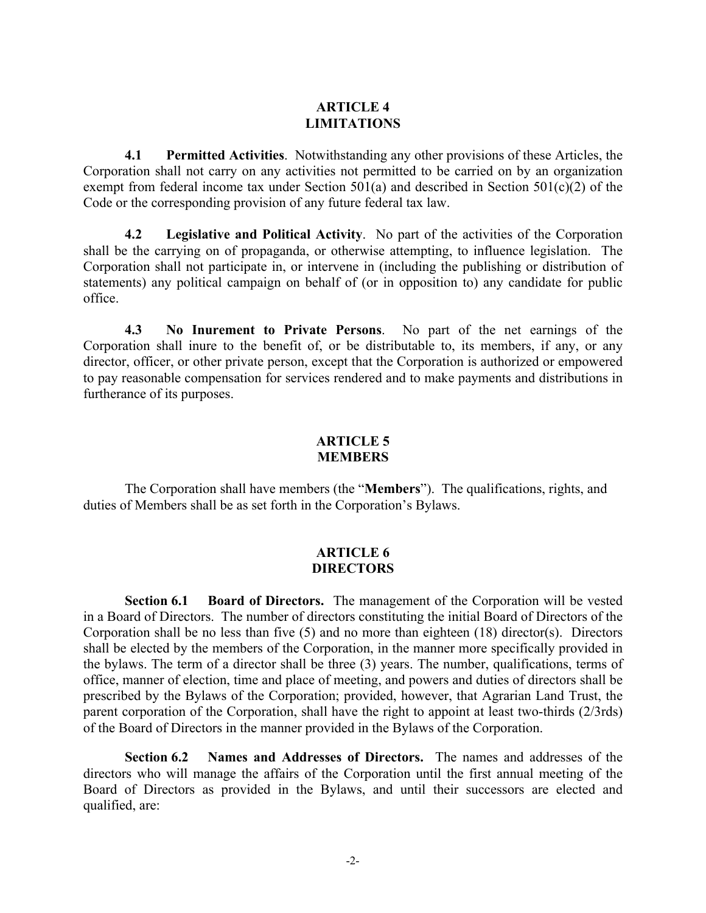# **ARTICLE 4 LIMITATIONS**

**4.1 Permitted Activities**. Notwithstanding any other provisions of these Articles, the Corporation shall not carry on any activities not permitted to be carried on by an organization exempt from federal income tax under Section 501(a) and described in Section 501(c)(2) of the Code or the corresponding provision of any future federal tax law.

**4.2 Legislative and Political Activity**. No part of the activities of the Corporation shall be the carrying on of propaganda, or otherwise attempting, to influence legislation. The Corporation shall not participate in, or intervene in (including the publishing or distribution of statements) any political campaign on behalf of (or in opposition to) any candidate for public office.

**4.3 No Inurement to Private Persons**. No part of the net earnings of the Corporation shall inure to the benefit of, or be distributable to, its members, if any, or any director, officer, or other private person, except that the Corporation is authorized or empowered to pay reasonable compensation for services rendered and to make payments and distributions in furtherance of its purposes.

## **ARTICLE 5 MEMBERS**

The Corporation shall have members (the "**Members**"). The qualifications, rights, and duties of Members shall be as set forth in the Corporation's Bylaws.

# **ARTICLE 6 DIRECTORS**

**Section 6.1 Board of Directors.** The management of the Corporation will be vested in a Board of Directors. The number of directors constituting the initial Board of Directors of the Corporation shall be no less than five (5) and no more than eighteen (18) director(s).Directors shall be elected by the members of the Corporation, in the manner more specifically provided in the bylaws. The term of a director shall be three (3) years. The number, qualifications, terms of office, manner of election, time and place of meeting, and powers and duties of directors shall be prescribed by the Bylaws of the Corporation; provided, however, that Agrarian Land Trust, the parent corporation of the Corporation, shall have the right to appoint at least two-thirds (2/3rds) of the Board of Directors in the manner provided in the Bylaws of the Corporation.

**Section 6.2 Names and Addresses of Directors.** The names and addresses of the directors who will manage the affairs of the Corporation until the first annual meeting of the Board of Directors as provided in the Bylaws, and until their successors are elected and qualified, are: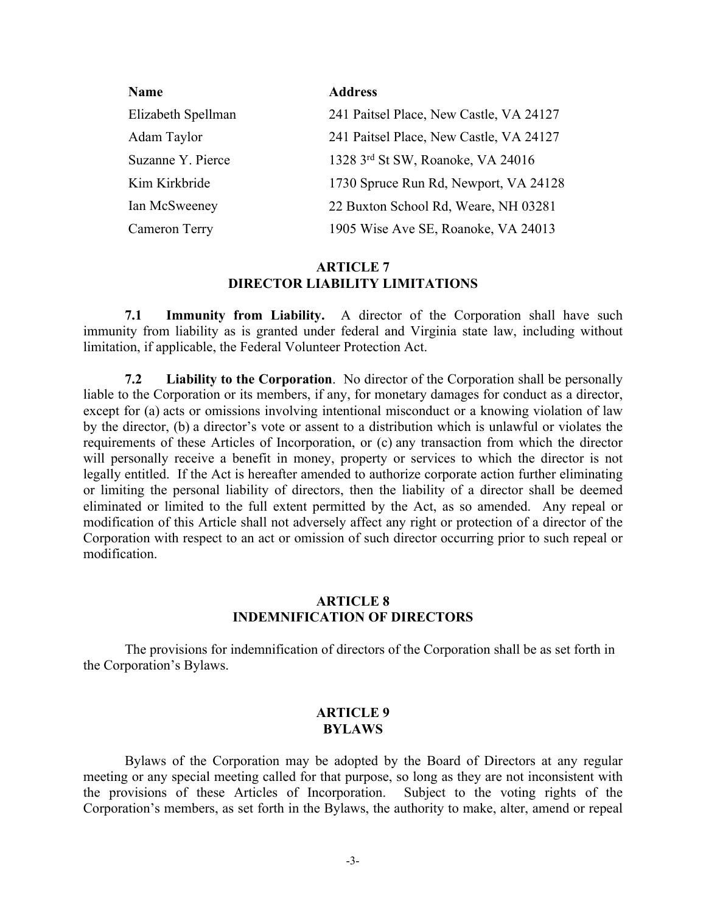| <b>Name</b>        | <b>Address</b>                          |
|--------------------|-----------------------------------------|
| Elizabeth Spellman | 241 Paitsel Place, New Castle, VA 24127 |
| Adam Taylor        | 241 Paitsel Place, New Castle, VA 24127 |
| Suzanne Y. Pierce  | 1328 3rd St SW, Roanoke, VA 24016       |
| Kim Kirkbride      | 1730 Spruce Run Rd, Newport, VA 24128   |
| Ian McSweeney      | 22 Buxton School Rd, Weare, NH 03281    |
| Cameron Terry      | 1905 Wise Ave SE, Roanoke, VA 24013     |

## **ARTICLE 7 DIRECTOR LIABILITY LIMITATIONS**

**7.1 Immunity from Liability.** A director of the Corporation shall have such immunity from liability as is granted under federal and Virginia state law, including without limitation, if applicable, the Federal Volunteer Protection Act.

**7.2 Liability to the Corporation**. No director of the Corporation shall be personally liable to the Corporation or its members, if any, for monetary damages for conduct as a director, except for (a) acts or omissions involving intentional misconduct or a knowing violation of law by the director, (b) a director's vote or assent to a distribution which is unlawful or violates the requirements of these Articles of Incorporation, or (c) any transaction from which the director will personally receive a benefit in money, property or services to which the director is not legally entitled. If the Act is hereafter amended to authorize corporate action further eliminating or limiting the personal liability of directors, then the liability of a director shall be deemed eliminated or limited to the full extent permitted by the Act, as so amended. Any repeal or modification of this Article shall not adversely affect any right or protection of a director of the Corporation with respect to an act or omission of such director occurring prior to such repeal or modification.

## **ARTICLE 8 INDEMNIFICATION OF DIRECTORS**

The provisions for indemnification of directors of the Corporation shall be as set forth in the Corporation's Bylaws.

## **ARTICLE 9 BYLAWS**

Bylaws of the Corporation may be adopted by the Board of Directors at any regular meeting or any special meeting called for that purpose, so long as they are not inconsistent with the provisions of these Articles of Incorporation. Subject to the voting rights of the Corporation's members, as set forth in the Bylaws, the authority to make, alter, amend or repeal